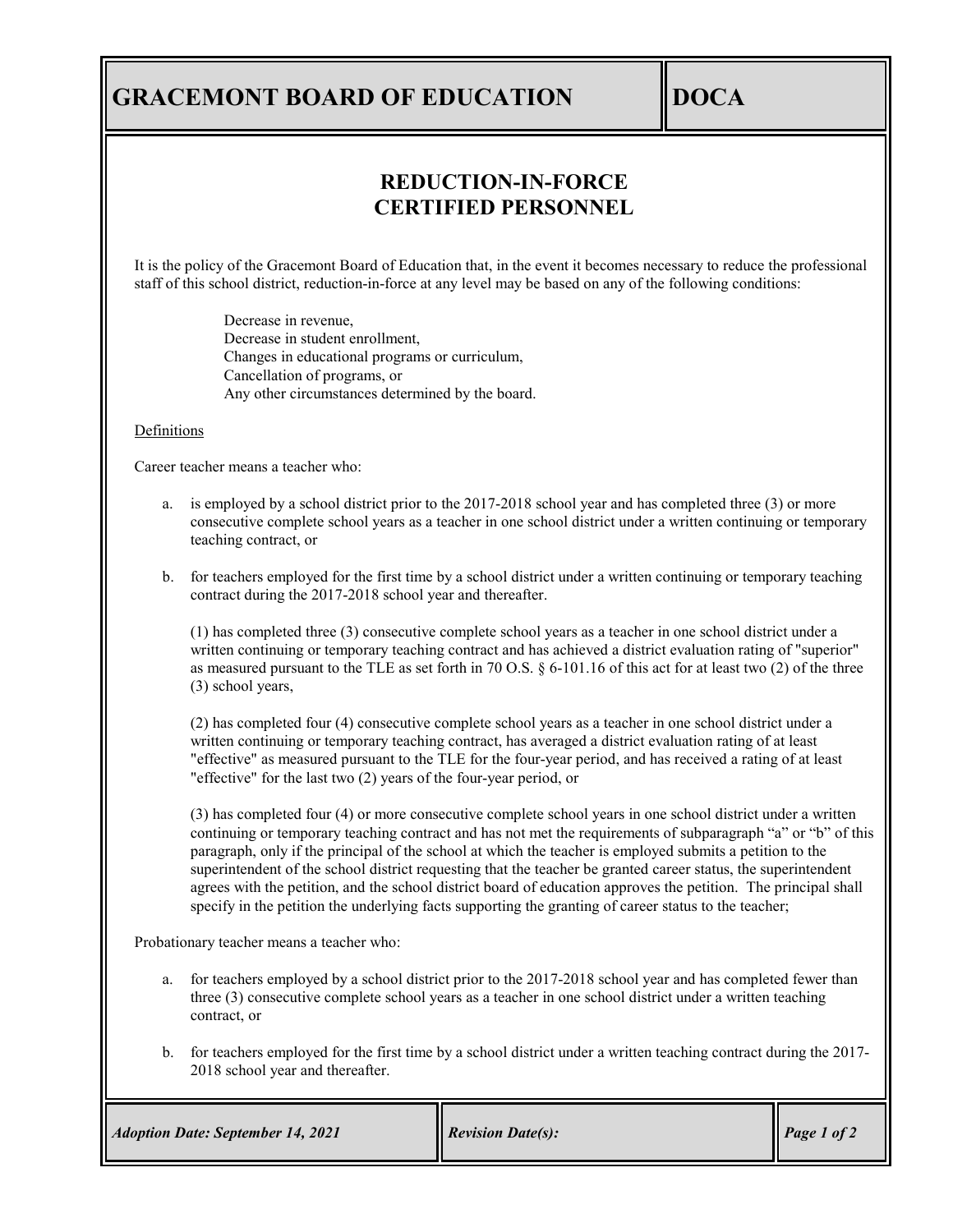## **GRACEMONT BOARD OF EDUCATION DOCA**

## **REDUCTION-IN-FORCE CERTIFIED PERSONNEL**

It is the policy of the Gracemont Board of Education that, in the event it becomes necessary to reduce the professional staff of this school district, reduction-in-force at any level may be based on any of the following conditions:

> Decrease in revenue, Decrease in student enrollment, Changes in educational programs or curriculum, Cancellation of programs, or Any other circumstances determined by the board.

Definitions

Career teacher means a teacher who:

- a. is employed by a school district prior to the 2017-2018 school year and has completed three (3) or more consecutive complete school years as a teacher in one school district under a written continuing or temporary teaching contract, or
- b. for teachers employed for the first time by a school district under a written continuing or temporary teaching contract during the 2017-2018 school year and thereafter.

(1) has completed three (3) consecutive complete school years as a teacher in one school district under a written continuing or temporary teaching contract and has achieved a district evaluation rating of "superior" as measured pursuant to the TLE as set forth in 70 O.S. § 6-101.16 of this act for at least two (2) of the three (3) school years,

(2) has completed four (4) consecutive complete school years as a teacher in one school district under a written continuing or temporary teaching contract, has averaged a district evaluation rating of at least "effective" as measured pursuant to the TLE for the four-year period, and has received a rating of at least "effective" for the last two (2) years of the four-year period, or

(3) has completed four (4) or more consecutive complete school years in one school district under a written continuing or temporary teaching contract and has not met the requirements of subparagraph "a" or "b" of this paragraph, only if the principal of the school at which the teacher is employed submits a petition to the superintendent of the school district requesting that the teacher be granted career status, the superintendent agrees with the petition, and the school district board of education approves the petition. The principal shall specify in the petition the underlying facts supporting the granting of career status to the teacher;

Probationary teacher means a teacher who:

- a. for teachers employed by a school district prior to the 2017-2018 school year and has completed fewer than three (3) consecutive complete school years as a teacher in one school district under a written teaching contract, or
- b. for teachers employed for the first time by a school district under a written teaching contract during the 2017- 2018 school year and thereafter.

| <b>Adoption Date: September 14, 2021</b> | <b>Revision Date(s):</b> | Page 1 of 2 |
|------------------------------------------|--------------------------|-------------|
|------------------------------------------|--------------------------|-------------|